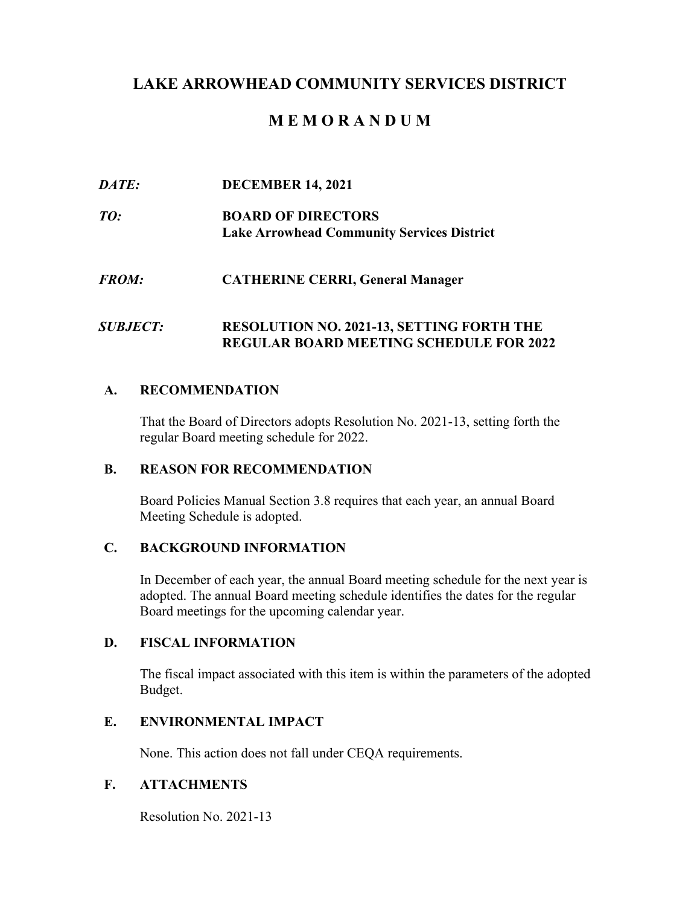# **LAKE ARROWHEAD COMMUNITY SERVICES DISTRICT**

# **M E M O R A N D U M**

#### $\overline{DATE}$ *DATE:* **DECEMBER 14, 2021**

 $TO:$ **BOARD OF DIRECTORS Lake Arrowhead Community Services District** 

#### $FROM:$ *FROM:* **CATHERINE CERRI, General Manager**

#### $SUBIECT$ *SUBJECT:* **RESOLUTION NO. 2021-13, SETTING FORTH THE REGULAR BOARD MEETING SCHEDULE FOR 2022**

#### **A. RECOMMENDATION**

 That the Board of Directors adopts Resolution No. 2021-13, setting forth the regular Board meeting schedule for 2022.

#### **B. REASON FOR RECOMMENDATION**

 Board Policies Manual Section 3.8 requires that each year, an annual Board Meeting Schedule is adopted.

### **C. BACKGROUND INFORMATION**

 In December of each year, the annual Board meeting schedule for the next year is Board meetings for the upcoming calendar year. adopted. The annual Board meeting schedule identifies the dates for the regular

#### **D. FISCAL INFORMATION**

 The fiscal impact associated with this item is within the parameters of the adopted Budget.

#### **E. ENVIRONMENTAL IMPACT**

None. This action does not fall under CEQA requirements.

### **F. ATTACHMENTS**

Resolution No. 2021-13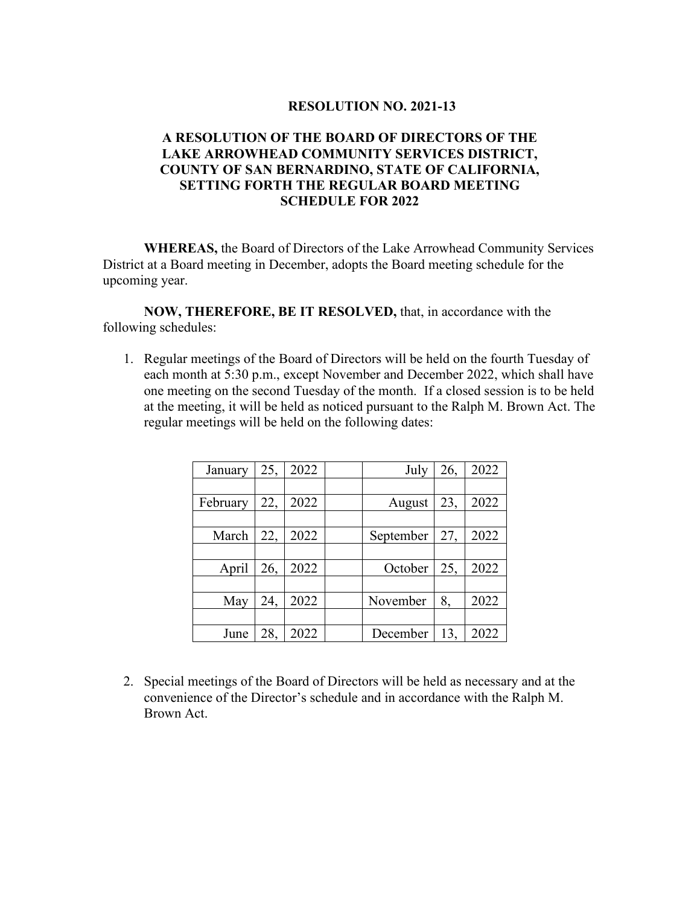#### **RESOLUTION NO. 2021-13**

### **A RESOLUTION OF THE BOARD OF DIRECTORS OF THE LAKE ARROWHEAD COMMUNITY SERVICES DISTRICT, COUNTY OF SAN BERNARDINO, STATE OF CALIFORNIA, SETTING FORTH THE REGULAR BOARD MEETING SCHEDULE FOR 2022**

 **WHEREAS,** the Board of Directors of the Lake Arrowhead Community Services District at a Board meeting in December, adopts the Board meeting schedule for the upcoming year.

**NOW, THEREFORE, BE IT RESOLVED,** that, in accordance with the following schedules:

 1. Regular meetings of the Board of Directors will be held on the fourth Tuesday of each month at 5:30 p.m., except November and December 2022, which shall have one meeting on the second Tuesday of the month. If a closed session is to be held regular meetings will be held on the following dates: at the meeting, it will be held as noticed pursuant to the Ralph M. Brown Act. The

| January  | 25, | 2022 | July      | 26, | 2022 |
|----------|-----|------|-----------|-----|------|
|          |     |      |           |     |      |
| February | 22, | 2022 | August    | 23, | 2022 |
|          |     |      |           |     |      |
| March    | 22, | 2022 | September | 27, | 2022 |
|          |     |      |           |     |      |
| April    | 26, | 2022 | October   | 25, | 2022 |
|          |     |      |           |     |      |
| May      | 24, | 2022 | November  | 8,  | 2022 |
|          |     |      |           |     |      |
| June     | 28, | 2022 | December  | 13, | 2022 |

 2. Special meetings of the Board of Directors will be held as necessary and at the convenience of the Director's schedule and in accordance with the Ralph M. Brown Act.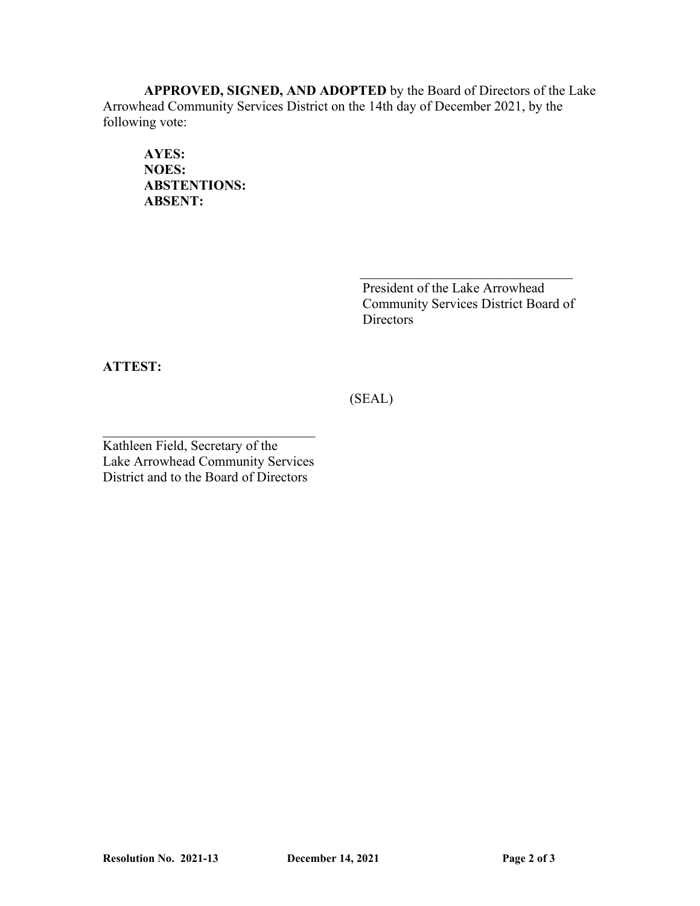Arrowhead Community Services District on the 14th day of December 2021, by the **APPROVED, SIGNED, AND ADOPTED** by the Board of Directors of the Lake following vote:

**NOES: ABSENT: AYES: NOES: ABSTENTIONS:** 

> Community Services District Board of Directors

> $\mathcal{L}_\text{max}$  , and the set of the set of the set of the set of the set of the set of the set of the set of the set of the set of the set of the set of the set of the set of the set of the set of the set of the set of the

**ATTEST: ABSENT: ATTEST:** 

(SEAL)

Kathleen Field, Secretary of the District and to the Board of Directors Lake Arrowhead Community Services President of the Lake Arrowhead<br>Community Services District Boa<br>Directors<br>ATTEST:<br>Kathleen Field, Secretary of the<br>Lake Arrowhead Community Services<br>District and to the Board of Directors

 $\mathcal{L}_\text{max}$  , and the set of the set of the set of the set of the set of the set of the set of the set of the set of the set of the set of the set of the set of the set of the set of the set of the set of the set of the